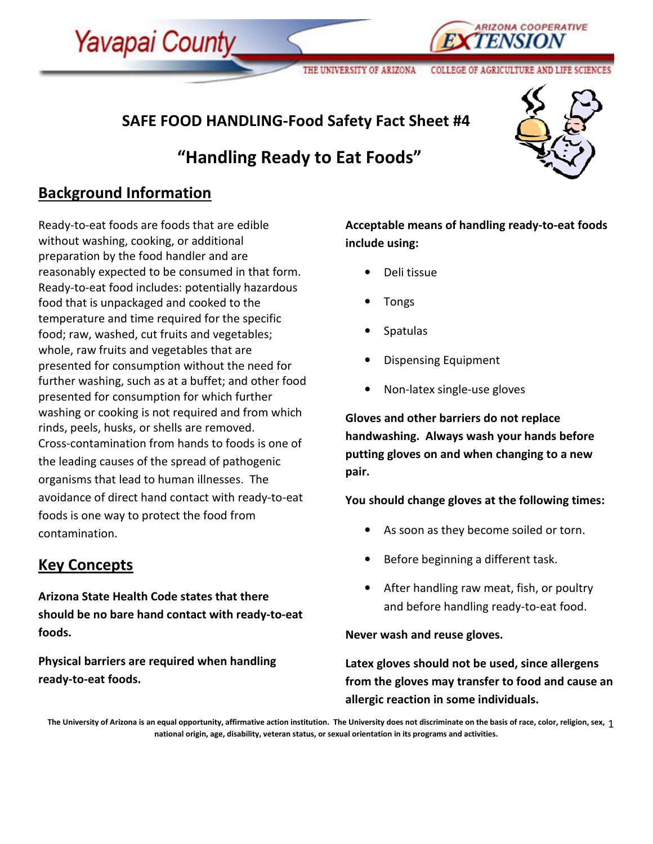# SAFE FOOD HANDLING-Food Safety Fact Sheet #4

# "Handling Ready to Eat Foods"



ND LIFE SCIENCE

**ARIZONA COOPERATIVE** 

## Background Information

Yavapai County

Ready-to-eat foods are foods that are edible without washing, cooking, or additional preparation by the food handler and are reasonably expected to be consumed in that form. Ready-to-eat food includes: potentially hazardous food that is unpackaged and cooked to the temperature and time required for the specific food; raw, washed, cut fruits and vegetables; whole, raw fruits and vegetables that are presented for consumption without the need for further washing, such as at a buffet; and other food presented for consumption for which further washing or cooking is not required and from which rinds, peels, husks, or shells are removed. Cross-contamination from hands to foods is one of the leading causes of the spread of pathogenic organisms that lead to human illnesses. The avoidance of direct hand contact with ready-to-eat foods is one way to protect the food from contamination.

## Key Concepts

Arizona State Health Code states that there should be no bare hand contact with ready-to-eat foods.

Physical barriers are required when handling ready-to-eat foods.

Acceptable means of handling ready-to-eat foods include using:

COLLEGE OF AGRICULTURE

- Deli tissue
- Tongs

THE UNIVERSITY OF ARIZONA

- Spatulas
- Dispensing Equipment
- Non-latex single-use gloves

Gloves and other barriers do not replace handwashing. Always wash your hands before putting gloves on and when changing to a new pair.

You should change gloves at the following times:

- As soon as they become soiled or torn.
- Before beginning a different task.
- After handling raw meat, fish, or poultry and before handling ready-to-eat food.

Never wash and reuse gloves.

Latex gloves should not be used, since allergens from the gloves may transfer to food and cause an allergic reaction in some individuals.

The University of Arizona is an equal opportunity, affirmative action institution. The University does not discriminate on the basis of race, color, religion, sex,  $\,1$ national origin, age, disability, veteran status, or sexual orientation in its programs and activities.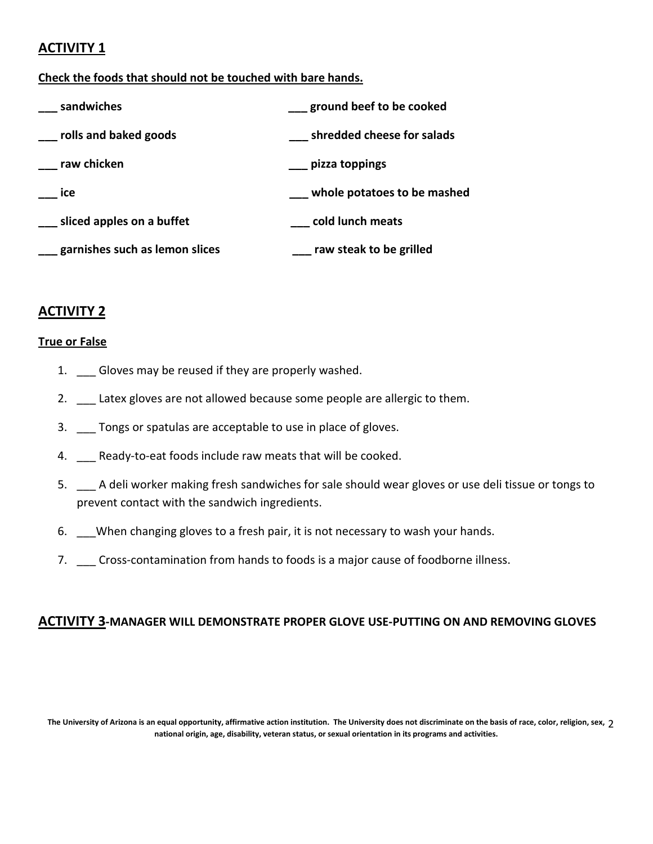## ACTIVITY 1

### Check the foods that should not be touched with bare hands.

| sandwiches                     | ground beef to be cooked    |
|--------------------------------|-----------------------------|
| rolls and baked goods          | shredded cheese for salads  |
| raw chicken                    | pizza toppings              |
| ice                            | whole potatoes to be mashed |
| sliced apples on a buffet      | cold lunch meats            |
| garnishes such as lemon slices | raw steak to be grilled     |

## ACTIVITY 2

### True or False

- 1. Gloves may be reused if they are properly washed.
- 2. \_\_ Latex gloves are not allowed because some people are allergic to them.
- 3. \_\_\_ Tongs or spatulas are acceptable to use in place of gloves.
- 4. \_\_\_ Ready-to-eat foods include raw meats that will be cooked.
- 5. \_\_\_ A deli worker making fresh sandwiches for sale should wear gloves or use deli tissue or tongs to prevent contact with the sandwich ingredients.
- 6. \_\_\_When changing gloves to a fresh pair, it is not necessary to wash your hands.
- 7. \_\_\_ Cross-contamination from hands to foods is a major cause of foodborne illness.

## ACTIVITY 3-MANAGER WILL DEMONSTRATE PROPER GLOVE USE-PUTTING ON AND REMOVING GLOVES

The University of Arizona is an equal opportunity, affirmative action institution. The University does not discriminate on the basis of race, color, religion, sex, 2 national origin, age, disability, veteran status, or sexual orientation in its programs and activities.